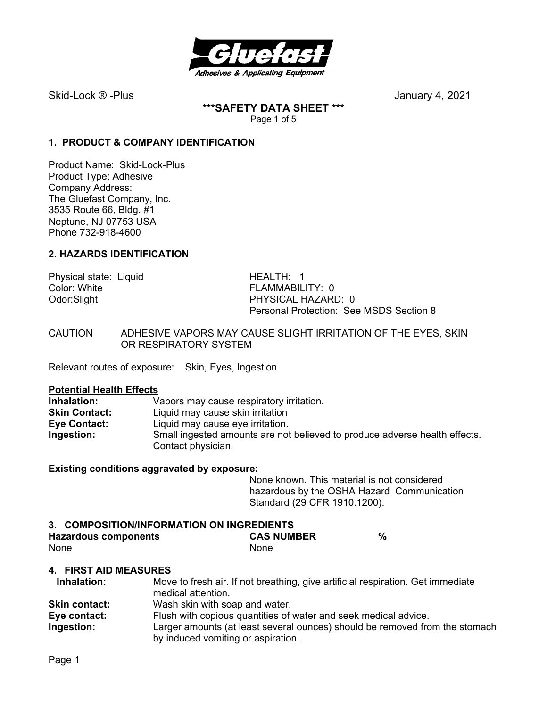

Skid-Lock ® -PlusJanuary 4, 2021

**\*\*\*SAFETY DATA SHEET \*\*\***  Page 1 of 5

## **1. PRODUCT & COMPANY IDENTIFICATION**

Product Name: Skid-Lock-Plus Product Type: Adhesive Company Address: The Gluefast Company, Inc. 3535 Route 66, Bldg. #1 Neptune, NJ 07753 USA Phone 732-918-4600

### **2. HAZARDS IDENTIFICATION**

Physical state: Liquid HEALTH: 1 Color: White **FLAMMABILITY: 0** 

Odor:Slight PHYSICAL HAZARD: 0 Personal Protection: See MSDS Section 8

CAUTION ADHESIVE VAPORS MAY CAUSE SLIGHT IRRITATION OF THE EYES, SKIN OR RESPIRATORY SYSTEM

Relevant routes of exposure: Skin, Eyes, Ingestion

#### **Potential Health Effects**

**Inhalation:** Vapors may cause respiratory irritation.<br> **Skin Contact:** Liquid may cause skin irritation **Skin Contact:** Liquid may cause skin irritation **Eve Contact: Liquid may cause eve irritation. Ingestion:** Small ingested amounts are not believed to produce adverse health effects. Contact physician.

#### **Existing conditions aggravated by exposure:**

None known. This material is not considered hazardous by the OSHA Hazard Communication Standard (29 CFR 1910.1200).

## **3. COMPOSITION/INFORMATION ON INGREDIENTS Hazardous components CAS NUMBER %**  None None None

### **4. FIRST AID MEASURES**

| Inhalation:          | Move to fresh air. If not breathing, give artificial respiration. Get immediate<br>medical attention.             |
|----------------------|-------------------------------------------------------------------------------------------------------------------|
| <b>Skin contact:</b> | Wash skin with soap and water.                                                                                    |
| Eye contact:         | Flush with copious quantities of water and seek medical advice.                                                   |
| Ingestion:           | Larger amounts (at least several ounces) should be removed from the stomach<br>by induced vomiting or aspiration. |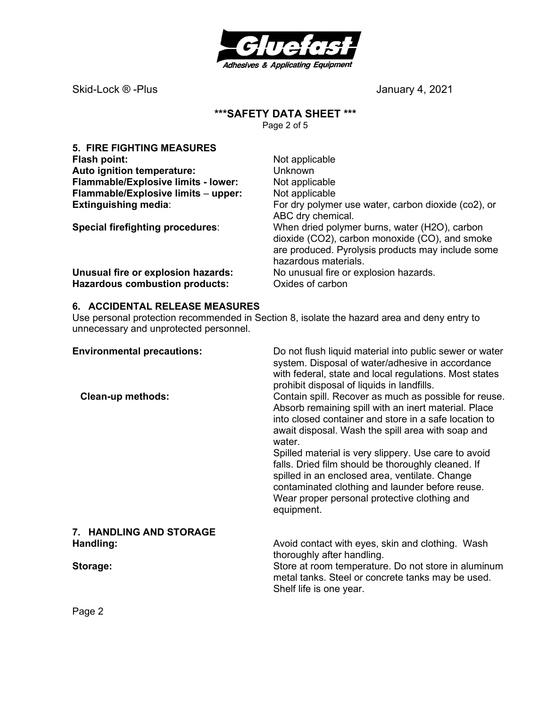

Skid-Lock ® -Plus 300 and 300 and 300 and 300 and 300 and 4, 2021

# **\*\*\*SAFETY DATA SHEET \*\*\***

Page 2 of 5

| <b>5. FIRE FIGHTING MEASURES</b>           |                                                                                                                                                                              |
|--------------------------------------------|------------------------------------------------------------------------------------------------------------------------------------------------------------------------------|
| Flash point:                               | Not applicable                                                                                                                                                               |
| Auto ignition temperature:                 | Unknown                                                                                                                                                                      |
| <b>Flammable/Explosive limits - lower:</b> | Not applicable                                                                                                                                                               |
| Flammable/Explosive limits - upper:        | Not applicable                                                                                                                                                               |
| <b>Extinguishing media:</b>                | For dry polymer use water, carbon dioxide (co2), or<br>ABC dry chemical.                                                                                                     |
| Special firefighting procedures:           | When dried polymer burns, water (H2O), carbon<br>dioxide (CO2), carbon monoxide (CO), and smoke<br>are produced. Pyrolysis products may include some<br>hazardous materials. |
| Unusual fire or explosion hazards:         | No unusual fire or explosion hazards.                                                                                                                                        |
| <b>Hazardous combustion products:</b>      | Oxides of carbon                                                                                                                                                             |

### **6. ACCIDENTAL RELEASE MEASURES**

Use personal protection recommended in Section 8, isolate the hazard area and deny entry to unnecessary and unprotected personnel.

| <b>Environmental precautions:</b><br><b>Clean-up methods:</b> | Do not flush liquid material into public sewer or water<br>system. Disposal of water/adhesive in accordance<br>with federal, state and local regulations. Most states<br>prohibit disposal of liquids in landfills.<br>Contain spill. Recover as much as possible for reuse.<br>Absorb remaining spill with an inert material. Place<br>into closed container and store in a safe location to<br>await disposal. Wash the spill area with soap and<br>water.<br>Spilled material is very slippery. Use care to avoid<br>falls. Dried film should be thoroughly cleaned. If |  |  |
|---------------------------------------------------------------|----------------------------------------------------------------------------------------------------------------------------------------------------------------------------------------------------------------------------------------------------------------------------------------------------------------------------------------------------------------------------------------------------------------------------------------------------------------------------------------------------------------------------------------------------------------------------|--|--|
|                                                               | spilled in an enclosed area, ventilate. Change<br>contaminated clothing and launder before reuse.<br>Wear proper personal protective clothing and<br>equipment.                                                                                                                                                                                                                                                                                                                                                                                                            |  |  |
| 7. HANDLING AND STORAGE                                       |                                                                                                                                                                                                                                                                                                                                                                                                                                                                                                                                                                            |  |  |
| Handling:                                                     | Avoid contact with eyes, skin and clothing. Wash<br>thoroughly after handling.                                                                                                                                                                                                                                                                                                                                                                                                                                                                                             |  |  |
| Storage:                                                      | Store at room temperature. Do not store in aluminum<br>metal tanks. Steel or concrete tanks may be used.<br>Shelf life is one year.                                                                                                                                                                                                                                                                                                                                                                                                                                        |  |  |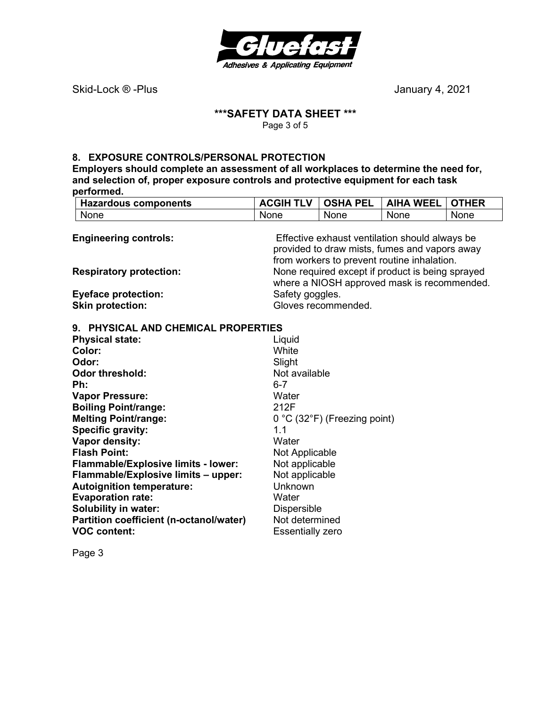

Skid-Lock ® -Plus 300 and 300 and 300 and 300 and 4, 2021

## **\*\*\*SAFETY DATA SHEET \*\*\***

Page 3 of 5

#### **8. EXPOSURE CONTROLS/PERSONAL PROTECTION**

**Employers should complete an assessment of all workplaces to determine the need for, and selection of, proper exposure controls and protective equipment for each task performed.** 

| <b>Hazardous components</b>                    | <b>ACGIH TLV</b>    | <b>OSHA PEL</b>                | <b>AIHA WEEL</b>                                 | <b>OTHER</b> |  |
|------------------------------------------------|---------------------|--------------------------------|--------------------------------------------------|--------------|--|
| None                                           | None                | None                           | None                                             | None         |  |
|                                                |                     |                                |                                                  |              |  |
| <b>Engineering controls:</b>                   |                     |                                | Effective exhaust ventilation should always be   |              |  |
|                                                |                     |                                | provided to draw mists, fumes and vapors away    |              |  |
|                                                |                     |                                | from workers to prevent routine inhalation.      |              |  |
| <b>Respiratory protection:</b>                 |                     |                                | None required except if product is being sprayed |              |  |
|                                                |                     |                                | where a NIOSH approved mask is recommended.      |              |  |
| <b>Eyeface protection:</b>                     | Safety goggles.     |                                |                                                  |              |  |
| <b>Skin protection:</b>                        | Gloves recommended. |                                |                                                  |              |  |
| 9. PHYSICAL AND CHEMICAL PROPERTIES            |                     |                                |                                                  |              |  |
| <b>Physical state:</b>                         | Liquid              |                                |                                                  |              |  |
| Color:                                         | White               |                                |                                                  |              |  |
| Odor:                                          | Slight              |                                |                                                  |              |  |
| <b>Odor threshold:</b>                         |                     | Not available                  |                                                  |              |  |
| Ph:                                            | $6 - 7$             |                                |                                                  |              |  |
| <b>Vapor Pressure:</b>                         | Water               |                                |                                                  |              |  |
| <b>Boiling Point/range:</b>                    | 212F                |                                |                                                  |              |  |
| <b>Melting Point/range:</b>                    |                     | $0 °C$ (32°F) (Freezing point) |                                                  |              |  |
| <b>Specific gravity:</b>                       | 1.1                 |                                |                                                  |              |  |
| Vapor density:                                 | Water               |                                |                                                  |              |  |
| <b>Flash Point:</b>                            | Not Applicable      |                                |                                                  |              |  |
| <b>Flammable/Explosive limits - lower:</b>     | Not applicable      |                                |                                                  |              |  |
| Flammable/Explosive limits - upper:            | Not applicable      |                                |                                                  |              |  |
| <b>Autoignition temperature:</b>               | Unknown             |                                |                                                  |              |  |
| <b>Evaporation rate:</b>                       | Water               |                                |                                                  |              |  |
| <b>Solubility in water:</b>                    | Dispersible         |                                |                                                  |              |  |
| Partition coefficient (n-octanol/water)        | Not determined      |                                |                                                  |              |  |
| <b>VOC content:</b><br><b>Essentially zero</b> |                     |                                |                                                  |              |  |

Page 3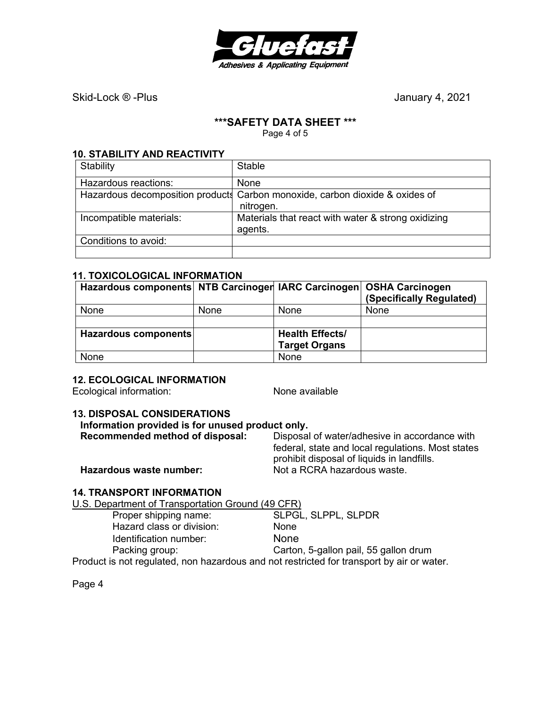

Skid-Lock ® -Plus 300 and 300 and 300 and 300 and 300 and 4, 2021

#### **\*\*\*SAFETY DATA SHEET \*\*\***

Page 4 of 5

#### **10. STABILITY AND REACTIVITY**

| Stability               | Stable                                                                                    |
|-------------------------|-------------------------------------------------------------------------------------------|
| Hazardous reactions:    | None                                                                                      |
|                         | Hazardous decomposition products Carbon monoxide, carbon dioxide & oxides of<br>nitrogen. |
| Incompatible materials: | Materials that react with water & strong oxidizing<br>agents.                             |
| Conditions to avoid:    |                                                                                           |
|                         |                                                                                           |

### **11. TOXICOLOGICAL INFORMATION**

| Hazardous components NTB Carcinoger IARC Carcinogen OSHA Carcinogen |      |                        | (Specifically Regulated) |
|---------------------------------------------------------------------|------|------------------------|--------------------------|
| None                                                                | None | <b>None</b>            | None                     |
|                                                                     |      |                        |                          |
| Hazardous components                                                |      | <b>Health Effects/</b> |                          |
|                                                                     |      | <b>Target Organs</b>   |                          |
| None                                                                |      | None                   |                          |

### **12. ECOLOGICAL INFORMATION**

Ecological information: None available

#### **13. DISPOSAL CONSIDERATIONS**

### **Information provided is for unused product only.**

| Recommended method of disposal: | Disposal of water/adhesive in accordance with     |
|---------------------------------|---------------------------------------------------|
|                                 | federal, state and local regulations. Most states |
|                                 | prohibit disposal of liquids in landfills.        |
| Hazardous waste number:         | Not a RCRA hazardous waste.                       |

## **14. TRANSPORT INFORMATION**

U.S. Department of Transportation Ground (49 CFR)

| Proper shipping name:                                                                     | SLPGL, SLPPL, SLPDR                   |
|-------------------------------------------------------------------------------------------|---------------------------------------|
| Hazard class or division:                                                                 | <b>None</b>                           |
| Identification number:                                                                    | None                                  |
| Packing group:                                                                            | Carton, 5-gallon pail, 55 gallon drum |
| Product is not regulated, non hazardous and not restricted for transport by air or water. |                                       |

Page 4